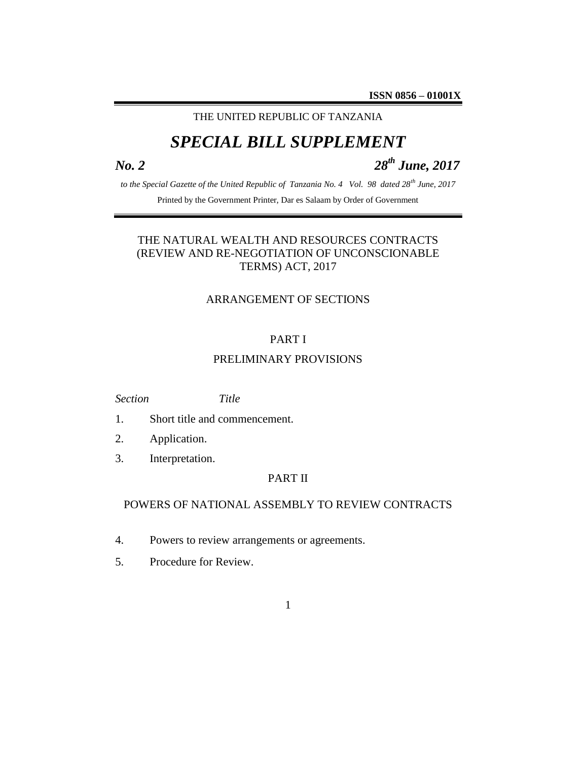## THE UNITED REPUBLIC OF TANZANIA

# *SPECIAL BILL SUPPLEMENT*

*No. 2 28th June, 2017*

*to the Special Gazette of the United Republic of Tanzania No. 4 Vol. 98 dated 28th June, 2017*

Printed by the Government Printer, Dar es Salaam by Order of Government

## THE NATURAL WEALTH AND RESOURCES CONTRACTS (REVIEW AND RE-NEGOTIATION OF UNCONSCIONABLE TERMS) ACT, 2017

#### ARRANGEMENT OF SECTIONS

### PART I

#### PRELIMINARY PROVISIONS

*Section Title*

- 1. Short title and commencement.
- 2. Application.
- 3. Interpretation.

#### PART II

#### POWERS OF NATIONAL ASSEMBLY TO REVIEW CONTRACTS

- 4. Powers to review arrangements or agreements.
- 5. Procedure for Review.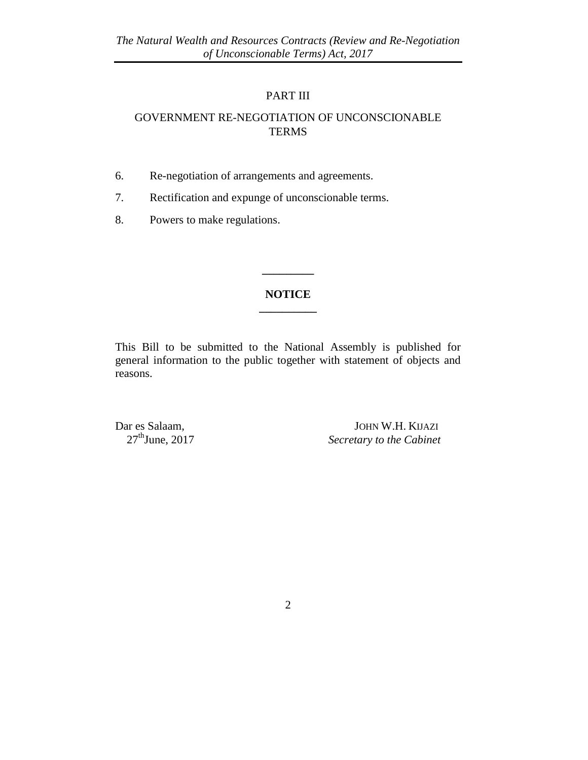## PART III

## GOVERNMENT RE-NEGOTIATION OF UNCONSCIONABLE **TERMS**

- 6. Re-negotiation of arrangements and agreements.
- 7. Rectification and expunge of unconscionable terms.
- 8. Powers to make regulations.

### **NOTICE \_\_\_\_\_\_\_\_\_\_**

**\_\_\_\_\_\_\_\_\_**

This Bill to be submitted to the National Assembly is published for general information to the public together with statement of objects and reasons.

Dar es Salaam, JOHN W.H. KUAZI<br>27<sup>th</sup>June, 2017 Secretary to the Cabinet **Secretary to the Cabinet**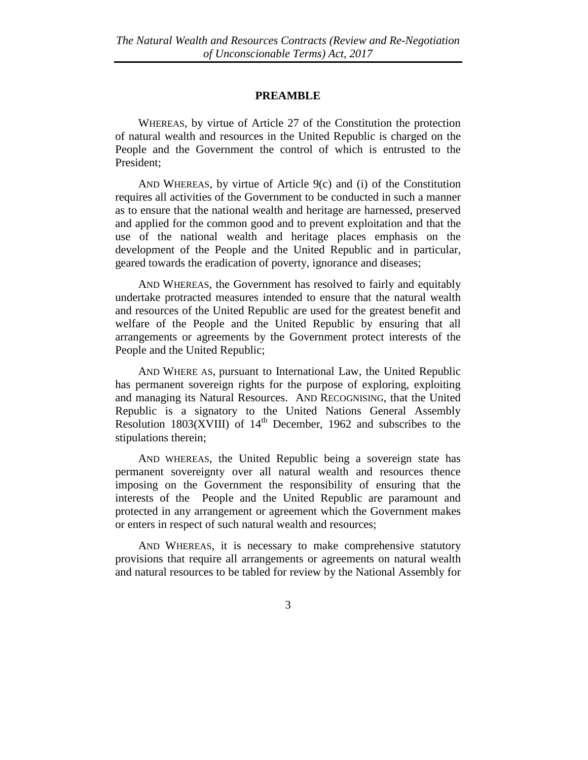#### **PREAMBLE**

WHEREAS, by virtue of Article 27 of the Constitution the protection of natural wealth and resources in the United Republic is charged on the People and the Government the control of which is entrusted to the President;

AND WHEREAS, by virtue of Article 9(c) and (i) of the Constitution requires all activities of the Government to be conducted in such a manner as to ensure that the national wealth and heritage are harnessed, preserved and applied for the common good and to prevent exploitation and that the use of the national wealth and heritage places emphasis on the development of the People and the United Republic and in particular, geared towards the eradication of poverty, ignorance and diseases;

AND WHEREAS, the Government has resolved to fairly and equitably undertake protracted measures intended to ensure that the natural wealth and resources of the United Republic are used for the greatest benefit and welfare of the People and the United Republic by ensuring that all arrangements or agreements by the Government protect interests of the People and the United Republic;

AND WHERE AS, pursuant to International Law, the United Republic has permanent sovereign rights for the purpose of exploring, exploiting and managing its Natural Resources. AND RECOGNISING, that the United Republic is a signatory to the United Nations General Assembly Resolution  $1803(XVIII)$  of  $14<sup>th</sup>$  December, 1962 and subscribes to the stipulations therein;

AND WHEREAS, the United Republic being a sovereign state has permanent sovereignty over all natural wealth and resources thence imposing on the Government the responsibility of ensuring that the interests of the People and the United Republic are paramount and protected in any arrangement or agreement which the Government makes or enters in respect of such natural wealth and resources;

AND WHEREAS, it is necessary to make comprehensive statutory provisions that require all arrangements or agreements on natural wealth and natural resources to be tabled for review by the National Assembly for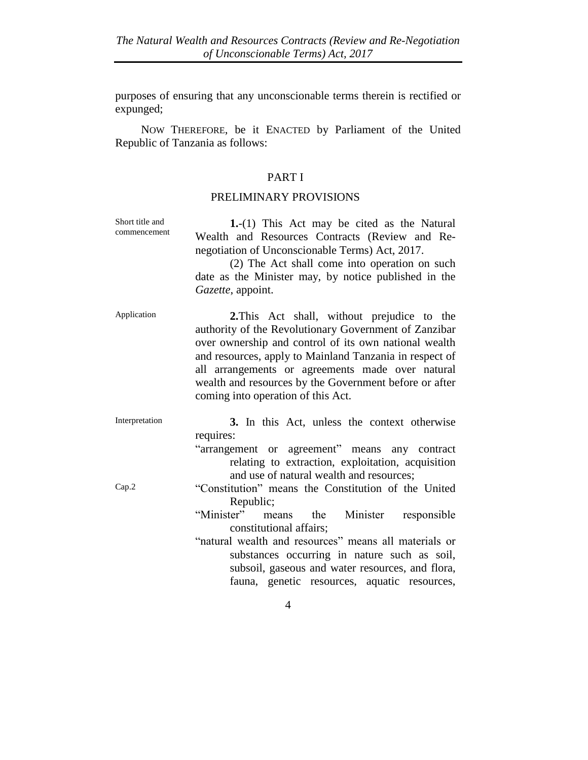purposes of ensuring that any unconscionable terms therein is rectified or expunged;

NOW THEREFORE, be it ENACTED by Parliament of the United Republic of Tanzania as follows:

## PART I

## PRELIMINARY PROVISIONS

| Short title and<br>commencement | 1.-(1) This Act may be cited as the Natural<br>Wealth and Resources Contracts (Review and Re-<br>negotiation of Unconscionable Terms) Act, 2017.<br>(2) The Act shall come into operation on such<br>date as the Minister may, by notice published in the<br>Gazette, appoint.                                                                                               |
|---------------------------------|------------------------------------------------------------------------------------------------------------------------------------------------------------------------------------------------------------------------------------------------------------------------------------------------------------------------------------------------------------------------------|
| Application                     | 2. This Act shall, without prejudice to the<br>authority of the Revolutionary Government of Zanzibar<br>over ownership and control of its own national wealth<br>and resources, apply to Mainland Tanzania in respect of<br>all arrangements or agreements made over natural<br>wealth and resources by the Government before or after<br>coming into operation of this Act. |
| Interpretation                  | 3. In this Act, unless the context otherwise<br>requires:<br>"arrangement or agreement" means any contract<br>relating to extraction, exploitation, acquisition<br>and use of natural wealth and resources;                                                                                                                                                                  |
| Cap.2                           | "Constitution" means the Constitution of the United<br>Republic;<br>"Minister"<br>Minister<br>means the<br>responsible<br>constitutional affairs;<br>"natural wealth and resources" means all materials or<br>substances occurring in nature such as soil,<br>subsoil, gaseous and water resources, and flora,<br>fauna, genetic resources, aquatic resources,               |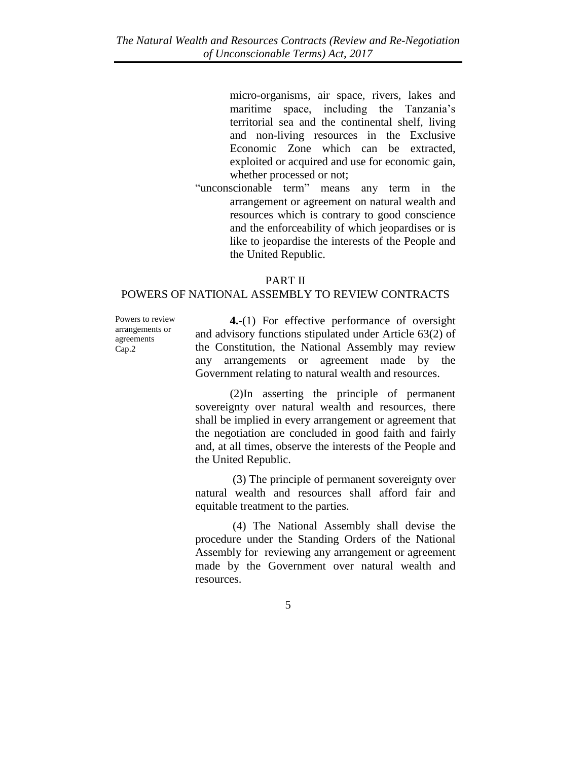micro-organisms, air space, rivers, lakes and maritime space, including the Tanzania's territorial sea and the continental shelf, living and non-living resources in the Exclusive Economic Zone which can be extracted, exploited or acquired and use for economic gain, whether processed or not;

"unconscionable term" means any term in the arrangement or agreement on natural wealth and resources which is contrary to good conscience and the enforceability of which jeopardises or is like to jeopardise the interests of the People and the United Republic.

#### PART II

#### POWERS OF NATIONAL ASSEMBLY TO REVIEW CONTRACTS

Powers to review arrangements or agreements Cap.2

**4.-**(1) For effective performance of oversight and advisory functions stipulated under Article 63(2) of the Constitution, the National Assembly may review any arrangements or agreement made by the Government relating to natural wealth and resources.

(2)In asserting the principle of permanent sovereignty over natural wealth and resources, there shall be implied in every arrangement or agreement that the negotiation are concluded in good faith and fairly and, at all times, observe the interests of the People and the United Republic.

 (3) The principle of permanent sovereignty over natural wealth and resources shall afford fair and equitable treatment to the parties.

 (4) The National Assembly shall devise the procedure under the Standing Orders of the National Assembly for reviewing any arrangement or agreement made by the Government over natural wealth and resources.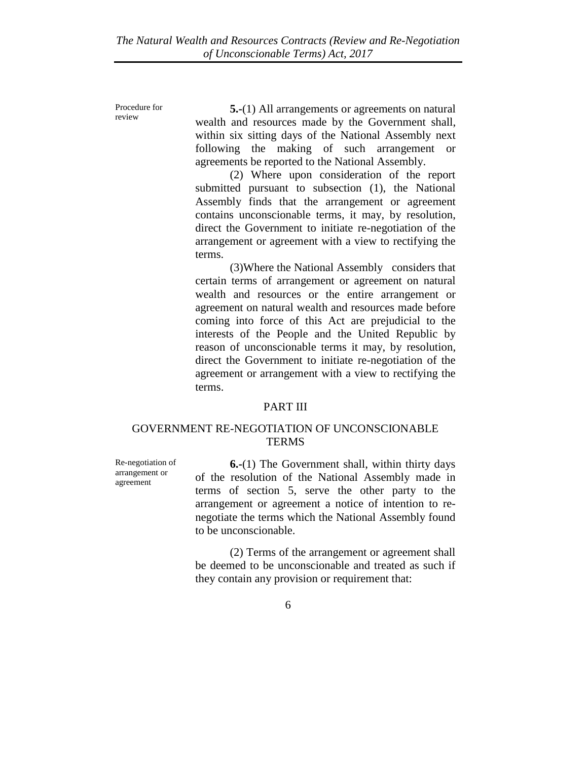Procedure for review

**5.-**(1) All arrangements or agreements on natural wealth and resources made by the Government shall, within six sitting days of the National Assembly next following the making of such arrangement or agreements be reported to the National Assembly.

(2) Where upon consideration of the report submitted pursuant to subsection (1), the National Assembly finds that the arrangement or agreement contains unconscionable terms, it may, by resolution, direct the Government to initiate re-negotiation of the arrangement or agreement with a view to rectifying the terms.

(3)Where the National Assembly considers that certain terms of arrangement or agreement on natural wealth and resources or the entire arrangement or agreement on natural wealth and resources made before coming into force of this Act are prejudicial to the interests of the People and the United Republic by reason of unconscionable terms it may, by resolution, direct the Government to initiate re-negotiation of the agreement or arrangement with a view to rectifying the terms.

## PART III

### GOVERNMENT RE-NEGOTIATION OF UNCONSCIONABLE **TERMS**

Re-negotiation of arrangement or agreement

**6.-**(1) The Government shall, within thirty days of the resolution of the National Assembly made in terms of section 5, serve the other party to the arrangement or agreement a notice of intention to renegotiate the terms which the National Assembly found to be unconscionable.

(2) Terms of the arrangement or agreement shall be deemed to be unconscionable and treated as such if they contain any provision or requirement that: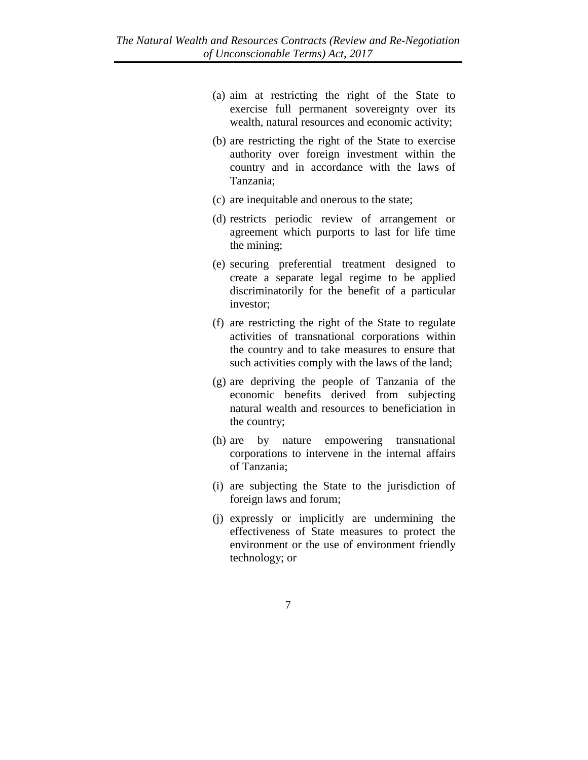- (a) aim at restricting the right of the State to exercise full permanent sovereignty over its wealth, natural resources and economic activity;
- (b) are restricting the right of the State to exercise authority over foreign investment within the country and in accordance with the laws of Tanzania;
- (c) are inequitable and onerous to the state;
- (d) restricts periodic review of arrangement or agreement which purports to last for life time the mining;
- (e) securing preferential treatment designed to create a separate legal regime to be applied discriminatorily for the benefit of a particular investor;
- (f) are restricting the right of the State to regulate activities of transnational corporations within the country and to take measures to ensure that such activities comply with the laws of the land;
- (g) are depriving the people of Tanzania of the economic benefits derived from subjecting natural wealth and resources to beneficiation in the country;
- (h) are by nature empowering transnational corporations to intervene in the internal affairs of Tanzania;
- (i) are subjecting the State to the jurisdiction of foreign laws and forum;
- (j) expressly or implicitly are undermining the effectiveness of State measures to protect the environment or the use of environment friendly technology; or
	- 7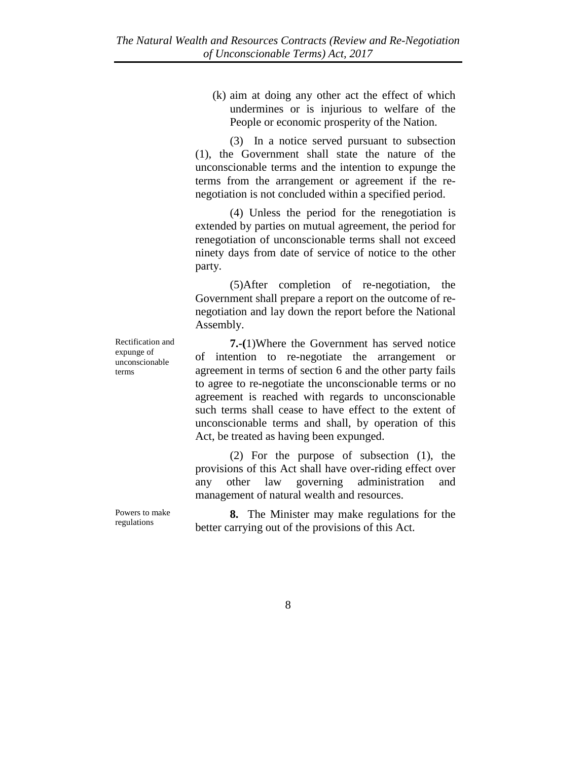(k) aim at doing any other act the effect of which undermines or is injurious to welfare of the People or economic prosperity of the Nation.

(3) In a notice served pursuant to subsection (1), the Government shall state the nature of the unconscionable terms and the intention to expunge the terms from the arrangement or agreement if the renegotiation is not concluded within a specified period.

(4) Unless the period for the renegotiation is extended by parties on mutual agreement, the period for renegotiation of unconscionable terms shall not exceed ninety days from date of service of notice to the other party.

(5)After completion of re-negotiation, the Government shall prepare a report on the outcome of renegotiation and lay down the report before the National Assembly.

Rectification and expunge of unconscionable terms

**7.-(**1)Where the Government has served notice of intention to re-negotiate the arrangement or agreement in terms of section 6 and the other party fails to agree to re-negotiate the unconscionable terms or no agreement is reached with regards to unconscionable such terms shall cease to have effect to the extent of unconscionable terms and shall, by operation of this Act, be treated as having been expunged.

(2) For the purpose of subsection (1), the provisions of this Act shall have over-riding effect over any other law governing administration and management of natural wealth and resources.

Powers to make regulations

**8.** The Minister may make regulations for the better carrying out of the provisions of this Act.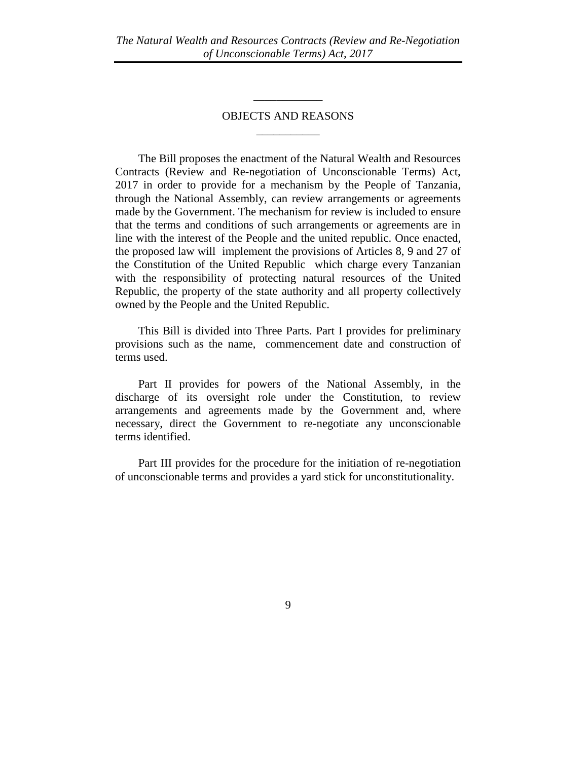## OBJECTS AND REASONS  $\overline{\phantom{a}}$

\_\_\_\_\_\_\_\_\_\_\_\_

The Bill proposes the enactment of the Natural Wealth and Resources Contracts (Review and Re-negotiation of Unconscionable Terms) Act, 2017 in order to provide for a mechanism by the People of Tanzania, through the National Assembly, can review arrangements or agreements made by the Government. The mechanism for review is included to ensure that the terms and conditions of such arrangements or agreements are in line with the interest of the People and the united republic. Once enacted, the proposed law will implement the provisions of Articles 8, 9 and 27 of the Constitution of the United Republic which charge every Tanzanian with the responsibility of protecting natural resources of the United Republic, the property of the state authority and all property collectively owned by the People and the United Republic.

This Bill is divided into Three Parts. Part I provides for preliminary provisions such as the name, commencement date and construction of terms used.

Part II provides for powers of the National Assembly, in the discharge of its oversight role under the Constitution, to review arrangements and agreements made by the Government and, where necessary, direct the Government to re-negotiate any unconscionable terms identified.

Part III provides for the procedure for the initiation of re-negotiation of unconscionable terms and provides a yard stick for unconstitutionality.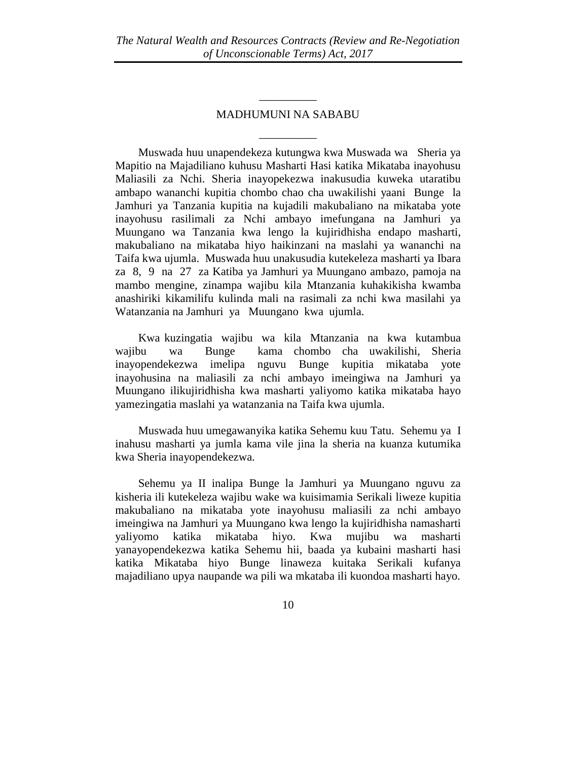## MADHUMUNI NA SABABU \_\_\_\_\_\_\_\_\_\_

\_\_\_\_\_\_\_\_\_\_

Muswada huu unapendekeza kutungwa kwa Muswada wa Sheria ya Mapitio na Majadiliano kuhusu Masharti Hasi katika Mikataba inayohusu Maliasili za Nchi. Sheria inayopekezwa inakusudia kuweka utaratibu ambapo wananchi kupitia chombo chao cha uwakilishi yaani Bunge la Jamhuri ya Tanzania kupitia na kujadili makubaliano na mikataba yote inayohusu rasilimali za Nchi ambayo imefungana na Jamhuri ya Muungano wa Tanzania kwa lengo la kujiridhisha endapo masharti, makubaliano na mikataba hiyo haikinzani na maslahi ya wananchi na Taifa kwa ujumla. Muswada huu unakusudia kutekeleza masharti ya Ibara za 8, 9 na 27 za Katiba ya Jamhuri ya Muungano ambazo, pamoja na mambo mengine, zinampa wajibu kila Mtanzania kuhakikisha kwamba anashiriki kikamilifu kulinda mali na rasimali za nchi kwa masilahi ya Watanzania na Jamhuri ya Muungano kwa ujumla.

Kwa kuzingatia wajibu wa kila Mtanzania na kwa kutambua wajibu wa Bunge kama chombo cha uwakilishi, Sheria inayopendekezwa imelipa nguvu Bunge kupitia mikataba yote inayohusina na maliasili za nchi ambayo imeingiwa na Jamhuri ya Muungano ilikujiridhisha kwa masharti yaliyomo katika mikataba hayo yamezingatia maslahi ya watanzania na Taifa kwa ujumla.

Muswada huu umegawanyika katika Sehemu kuu Tatu. Sehemu ya I inahusu masharti ya jumla kama vile jina la sheria na kuanza kutumika kwa Sheria inayopendekezwa.

Sehemu ya II inalipa Bunge la Jamhuri ya Muungano nguvu za kisheria ili kutekeleza wajibu wake wa kuisimamia Serikali liweze kupitia makubaliano na mikataba yote inayohusu maliasili za nchi ambayo imeingiwa na Jamhuri ya Muungano kwa lengo la kujiridhisha namasharti yaliyomo katika mikataba hiyo. Kwa mujibu wa masharti yanayopendekezwa katika Sehemu hii, baada ya kubaini masharti hasi katika Mikataba hiyo Bunge linaweza kuitaka Serikali kufanya majadiliano upya naupande wa pili wa mkataba ili kuondoa masharti hayo.